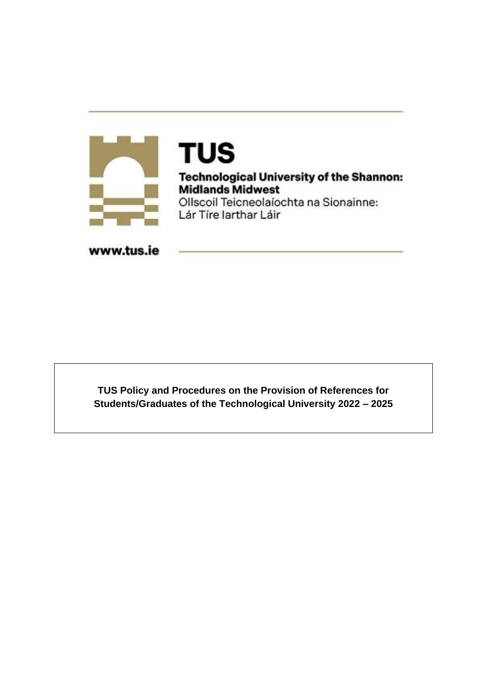

# **TUS**

**Technological University of the Shannon:**<br>Midlands Midwest Ollscoil Teicneolaíochta na Sionainne:

Lár Tíre Iarthar Láir

www.tus.ie

**TUS Policy and Procedures on the Provision of References for Students/Graduates of the Technological University 2022 – 2025**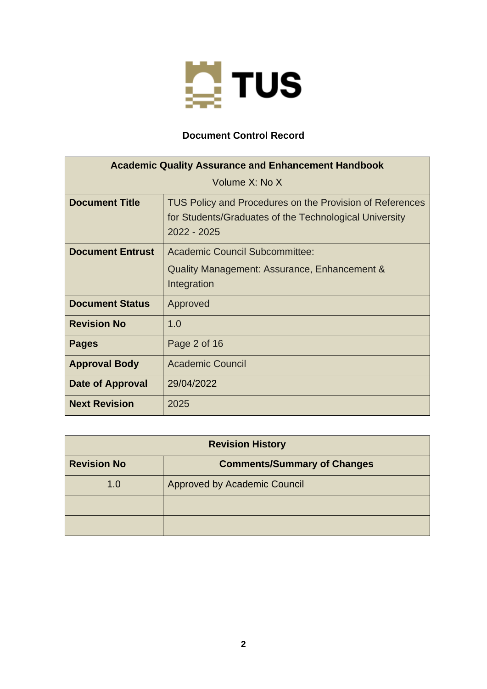

# **Document Control Record**

| <b>Academic Quality Assurance and Enhancement Handbook</b> |                                                                                                                                   |  |
|------------------------------------------------------------|-----------------------------------------------------------------------------------------------------------------------------------|--|
| Volume X: No X                                             |                                                                                                                                   |  |
| <b>Document Title</b>                                      | TUS Policy and Procedures on the Provision of References<br>for Students/Graduates of the Technological University<br>2022 - 2025 |  |
| <b>Document Entrust</b>                                    | Academic Council Subcommittee:                                                                                                    |  |
|                                                            | Quality Management: Assurance, Enhancement &<br>Integration                                                                       |  |
| <b>Document Status</b>                                     | Approved                                                                                                                          |  |
| <b>Revision No</b>                                         | 1.0                                                                                                                               |  |
| <b>Pages</b>                                               | Page 2 of 16                                                                                                                      |  |
| <b>Approval Body</b>                                       | <b>Academic Council</b>                                                                                                           |  |
| Date of Approval                                           | 29/04/2022                                                                                                                        |  |
| <b>Next Revision</b>                                       | 2025                                                                                                                              |  |

| <b>Revision History</b>                                  |                              |  |
|----------------------------------------------------------|------------------------------|--|
| <b>Revision No</b><br><b>Comments/Summary of Changes</b> |                              |  |
| 1.0                                                      | Approved by Academic Council |  |
|                                                          |                              |  |
|                                                          |                              |  |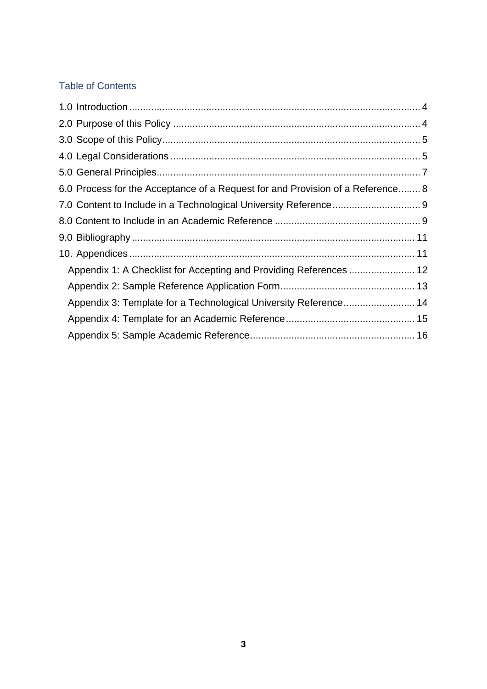# Table of Contents

| 6.0 Process for the Acceptance of a Request for and Provision of a Reference 8 |  |
|--------------------------------------------------------------------------------|--|
|                                                                                |  |
|                                                                                |  |
|                                                                                |  |
|                                                                                |  |
| Appendix 1: A Checklist for Accepting and Providing References  12             |  |
|                                                                                |  |
| Appendix 3: Template for a Technological University Reference 14               |  |
|                                                                                |  |
|                                                                                |  |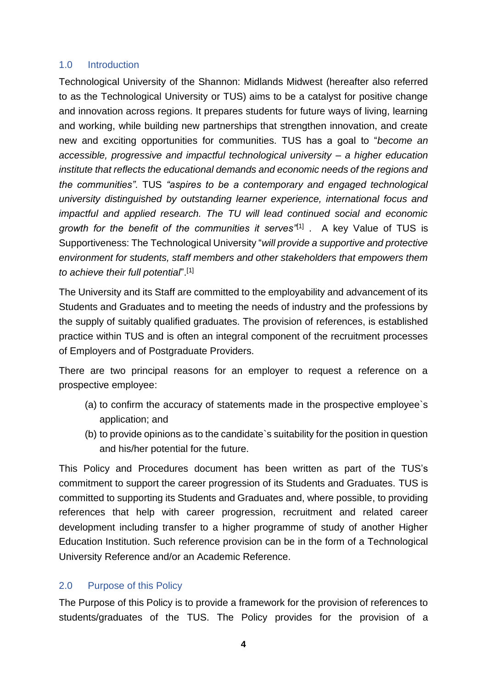## <span id="page-3-0"></span>1.0 Introduction

Technological University of the Shannon: Midlands Midwest (hereafter also referred to as the Technological University or TUS) aims to be a catalyst for positive change and innovation across regions. It prepares students for future ways of living, learning and working, while building new partnerships that strengthen innovation, and create new and exciting opportunities for communities. TUS has a goal to "*become an accessible, progressive and impactful technological university – a higher education institute that reflects the educational demands and economic needs of the regions and the communities".* TUS *"aspires to be a contemporary and engaged technological university distinguished by outstanding learner experience, international focus and impactful and applied research. The TU will lead continued social and economic growth for the benefit of the communities it serves"*[1] . A key Value of TUS is Supportiveness: The Technological University "*will provide a supportive and protective environment for students, staff members and other stakeholders that empowers them to achieve their full potential*".[1]

The University and its Staff are committed to the employability and advancement of its Students and Graduates and to meeting the needs of industry and the professions by the supply of suitably qualified graduates. The provision of references, is established practice within TUS and is often an integral component of the recruitment processes of Employers and of Postgraduate Providers.

There are two principal reasons for an employer to request a reference on a prospective employee:

- (a) to confirm the accuracy of statements made in the prospective employee`s application; and
- (b) to provide opinions as to the candidate`s suitability for the position in question and his/her potential for the future.

This Policy and Procedures document has been written as part of the TUS's commitment to support the career progression of its Students and Graduates. TUS is committed to supporting its Students and Graduates and, where possible, to providing references that help with career progression, recruitment and related career development including transfer to a higher programme of study of another Higher Education Institution. Such reference provision can be in the form of a Technological University Reference and/or an Academic Reference.

## <span id="page-3-1"></span>2.0 Purpose of this Policy

The Purpose of this Policy is to provide a framework for the provision of references to students/graduates of the TUS. The Policy provides for the provision of a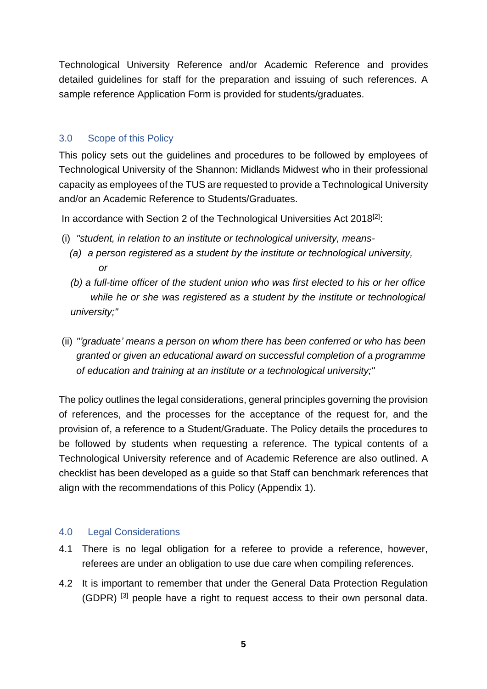Technological University Reference and/or Academic Reference and provides detailed guidelines for staff for the preparation and issuing of such references. A sample reference Application Form is provided for students/graduates.

# <span id="page-4-0"></span>3.0 Scope of this Policy

This policy sets out the guidelines and procedures to be followed by employees of Technological University of the Shannon: Midlands Midwest who in their professional capacity as employees of the TUS are requested to provide a Technological University and/or an Academic Reference to Students/Graduates.

In accordance with Section 2 of the Technological Universities Act 2018<sup>[2]</sup>:

- (i) *"student, in relation to an institute or technological university, means-*
	- *(a) a person registered as a student by the institute or technological university, or*
	- *(b) a full-time officer of the student union who was first elected to his or her office while he or she was registered as a student by the institute or technological university;"*
- (ii) *"'graduate' means a person on whom there has been conferred or who has been granted or given an educational award on successful completion of a programme of education and training at an institute or a technological university;"*

The policy outlines the legal considerations, general principles governing the provision of references, and the processes for the acceptance of the request for, and the provision of, a reference to a Student/Graduate. The Policy details the procedures to be followed by students when requesting a reference. The typical contents of a Technological University reference and of Academic Reference are also outlined. A checklist has been developed as a guide so that Staff can benchmark references that align with the recommendations of this Policy (Appendix 1).

## <span id="page-4-1"></span>4.0 Legal Considerations

- 4.1 There is no legal obligation for a referee to provide a reference, however, referees are under an obligation to use due care when compiling references.
- 4.2 It is important to remember that under the General Data Protection Regulation (GDPR) [3] people have a right to request access to their own personal data.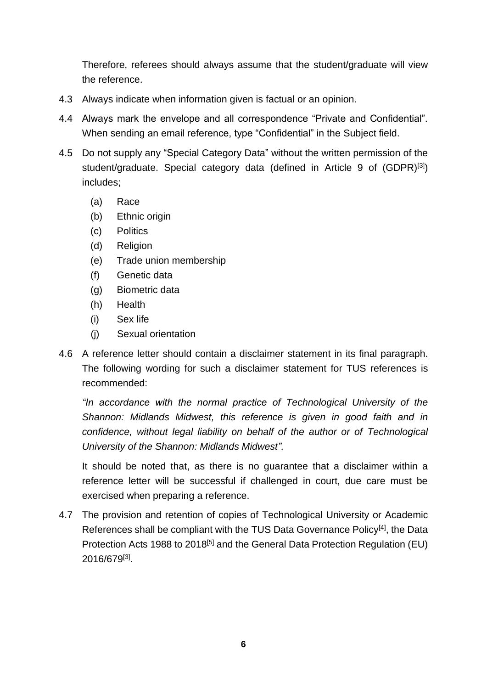Therefore, referees should always assume that the student/graduate will view the reference.

- 4.3 Always indicate when information given is factual or an opinion.
- 4.4 Always mark the envelope and all correspondence "Private and Confidential". When sending an email reference, type "Confidential" in the Subject field.
- 4.5 Do not supply any "Special Category Data" without the written permission of the student/graduate. Special category data (defined in Article 9 of (GDPR)<sup>[3]</sup>) includes;
	- (a) Race
	- (b) Ethnic origin
	- (c) Politics
	- (d) Religion
	- (e) Trade union membership
	- (f) Genetic data
	- (g) Biometric data
	- (h) Health
	- (i) Sex life
	- (j) Sexual orientation
- 4.6 A reference letter should contain a disclaimer statement in its final paragraph. The following wording for such a disclaimer statement for TUS references is recommended:

*"In accordance with the normal practice of Technological University of the Shannon: Midlands Midwest, this reference is given in good faith and in confidence, without legal liability on behalf of the author or of Technological University of the Shannon: Midlands Midwest".*

It should be noted that, as there is no guarantee that a disclaimer within a reference letter will be successful if challenged in court, due care must be exercised when preparing a reference.

<span id="page-5-0"></span>4.7 The provision and retention of copies of Technological University or Academic References shall be compliant with the TUS Data Governance Policy<sup>[4]</sup>, the Data Protection Acts 1988 to 2018<sup>[5]</sup> and the General Data Protection Regulation (EU) 2016/679<sup>[3]</sup>.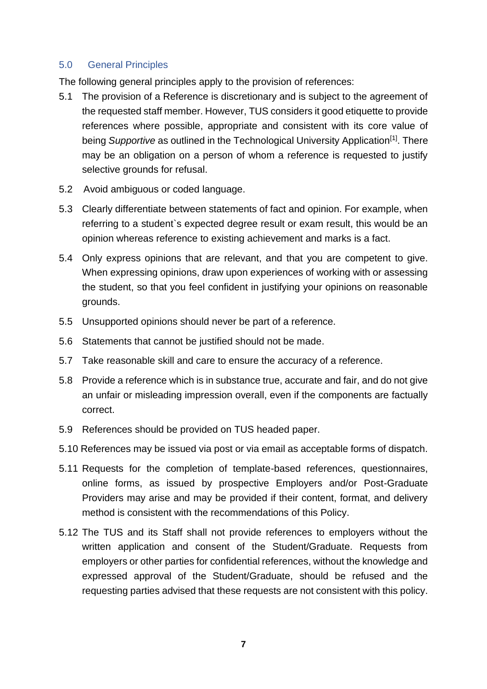## 5.0 General Principles

The following general principles apply to the provision of references:

- 5.1 The provision of a Reference is discretionary and is subject to the agreement of the requested staff member. However, TUS considers it good etiquette to provide references where possible, appropriate and consistent with its core value of being Supportive as outlined in the Technological University Application<sup>[1]</sup>. There may be an obligation on a person of whom a reference is requested to justify selective grounds for refusal.
- 5.2 Avoid ambiguous or coded language.
- 5.3 Clearly differentiate between statements of fact and opinion. For example, when referring to a student`s expected degree result or exam result, this would be an opinion whereas reference to existing achievement and marks is a fact.
- 5.4 Only express opinions that are relevant, and that you are competent to give. When expressing opinions, draw upon experiences of working with or assessing the student, so that you feel confident in justifying your opinions on reasonable grounds.
- 5.5 Unsupported opinions should never be part of a reference.
- 5.6 Statements that cannot be justified should not be made.
- 5.7 Take reasonable skill and care to ensure the accuracy of a reference.
- 5.8 Provide a reference which is in substance true, accurate and fair, and do not give an unfair or misleading impression overall, even if the components are factually correct.
- 5.9 References should be provided on TUS headed paper.
- 5.10 References may be issued via post or via email as acceptable forms of dispatch.
- 5.11 Requests for the completion of template-based references, questionnaires, online forms, as issued by prospective Employers and/or Post-Graduate Providers may arise and may be provided if their content, format, and delivery method is consistent with the recommendations of this Policy.
- 5.12 The TUS and its Staff shall not provide references to employers without the written application and consent of the Student/Graduate. Requests from employers or other parties for confidential references, without the knowledge and expressed approval of the Student/Graduate, should be refused and the requesting parties advised that these requests are not consistent with this policy.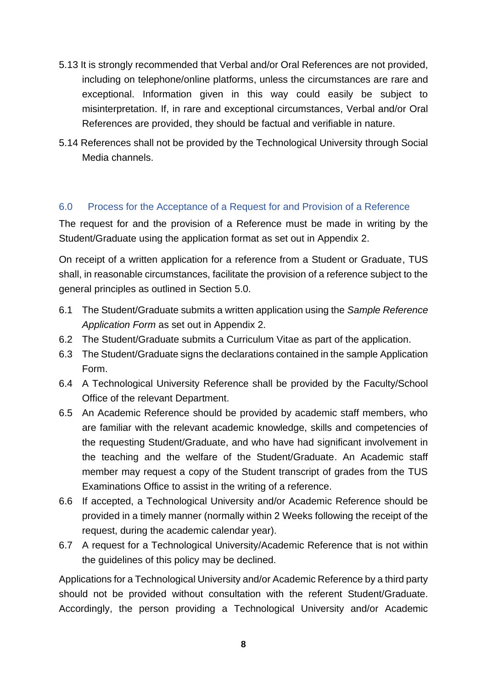- 5.13 It is strongly recommended that Verbal and/or Oral References are not provided, including on telephone/online platforms, unless the circumstances are rare and exceptional. Information given in this way could easily be subject to misinterpretation. If, in rare and exceptional circumstances, Verbal and/or Oral References are provided, they should be factual and verifiable in nature.
- 5.14 References shall not be provided by the Technological University through Social Media channels.

## <span id="page-7-0"></span>6.0 Process for the Acceptance of a Request for and Provision of a Reference

The request for and the provision of a Reference must be made in writing by the Student/Graduate using the application format as set out in Appendix 2.

On receipt of a written application for a reference from a Student or Graduate, TUS shall, in reasonable circumstances, facilitate the provision of a reference subject to the general principles as outlined in Section 5.0.

- 6.1 The Student/Graduate submits a written application using the *Sample Reference Application Form* as set out in Appendix 2.
- 6.2 The Student/Graduate submits a Curriculum Vitae as part of the application.
- 6.3 The Student/Graduate signs the declarations contained in the sample Application Form.
- 6.4 A Technological University Reference shall be provided by the Faculty/School Office of the relevant Department.
- 6.5 An Academic Reference should be provided by academic staff members, who are familiar with the relevant academic knowledge, skills and competencies of the requesting Student/Graduate, and who have had significant involvement in the teaching and the welfare of the Student/Graduate. An Academic staff member may request a copy of the Student transcript of grades from the TUS Examinations Office to assist in the writing of a reference.
- 6.6 If accepted, a Technological University and/or Academic Reference should be provided in a timely manner (normally within 2 Weeks following the receipt of the request, during the academic calendar year).
- 6.7 A request for a Technological University/Academic Reference that is not within the guidelines of this policy may be declined.

Applications for a Technological University and/or Academic Reference by a third party should not be provided without consultation with the referent Student/Graduate. Accordingly, the person providing a Technological University and/or Academic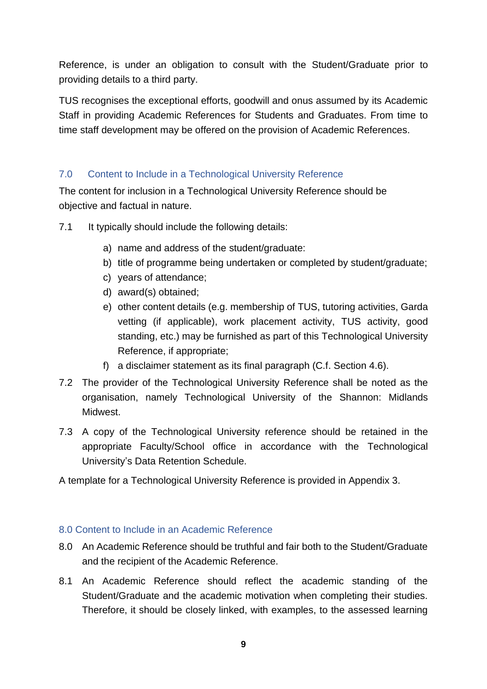Reference, is under an obligation to consult with the Student/Graduate prior to providing details to a third party.

TUS recognises the exceptional efforts, goodwill and onus assumed by its Academic Staff in providing Academic References for Students and Graduates. From time to time staff development may be offered on the provision of Academic References.

# <span id="page-8-0"></span>7.0 Content to Include in a Technological University Reference

The content for inclusion in a Technological University Reference should be objective and factual in nature.

- 7.1 It typically should include the following details:
	- a) name and address of the student/graduate:
	- b) title of programme being undertaken or completed by student/graduate;
	- c) years of attendance;
	- d) award(s) obtained;
	- e) other content details (e.g. membership of TUS, tutoring activities, Garda vetting (if applicable), work placement activity, TUS activity, good standing, etc.) may be furnished as part of this Technological University Reference, if appropriate;
	- f) a disclaimer statement as its final paragraph (C.f. Section 4.6).
- 7.2 The provider of the Technological University Reference shall be noted as the organisation, namely Technological University of the Shannon: Midlands **Midwest**
- 7.3 A copy of the Technological University reference should be retained in the appropriate Faculty/School office in accordance with the Technological University's Data Retention Schedule.

A template for a Technological University Reference is provided in Appendix 3.

## <span id="page-8-1"></span>8.0 Content to Include in an Academic Reference

- 8.0 An Academic Reference should be truthful and fair both to the Student/Graduate and the recipient of the Academic Reference.
- 8.1 An Academic Reference should reflect the academic standing of the Student/Graduate and the academic motivation when completing their studies. Therefore, it should be closely linked, with examples, to the assessed learning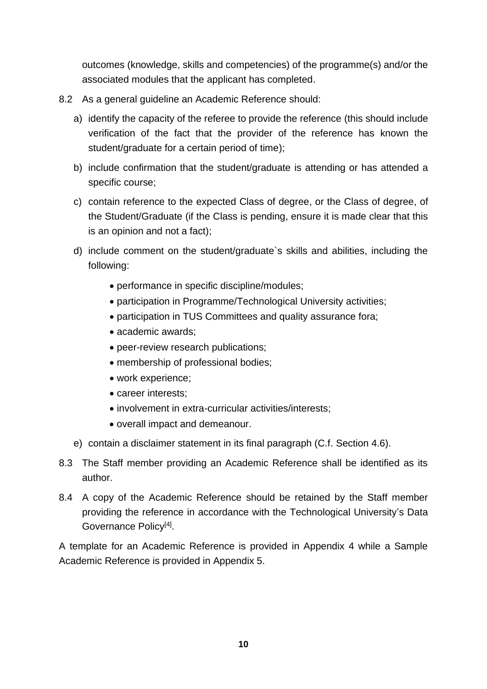outcomes (knowledge, skills and competencies) of the programme(s) and/or the associated modules that the applicant has completed.

- 8.2 As a general guideline an Academic Reference should:
	- a) identify the capacity of the referee to provide the reference (this should include verification of the fact that the provider of the reference has known the student/graduate for a certain period of time);
	- b) include confirmation that the student/graduate is attending or has attended a specific course;
	- c) contain reference to the expected Class of degree, or the Class of degree, of the Student/Graduate (if the Class is pending, ensure it is made clear that this is an opinion and not a fact);
	- d) include comment on the student/graduate`s skills and abilities, including the following:
		- performance in specific discipline/modules;
		- participation in Programme/Technological University activities;
		- participation in TUS Committees and quality assurance fora;
		- academic awards;
		- peer-review research publications;
		- membership of professional bodies;
		- work experience;
		- career interests;
		- involvement in extra-curricular activities/interests;
		- overall impact and demeanour.
	- e) contain a disclaimer statement in its final paragraph (C.f. Section 4.6).
- 8.3 The Staff member providing an Academic Reference shall be identified as its author.
- 8.4 A copy of the Academic Reference should be retained by the Staff member providing the reference in accordance with the Technological University's Data Governance Policy<sup>[4]</sup>.

A template for an Academic Reference is provided in Appendix 4 while a Sample Academic Reference is provided in Appendix 5.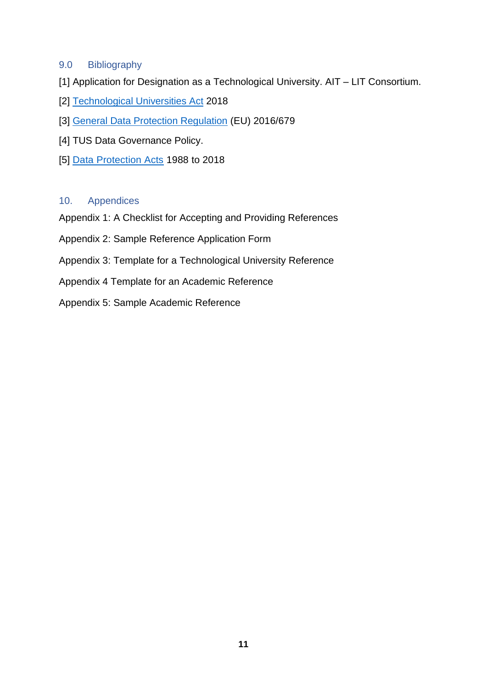#### <span id="page-10-0"></span>9.0 Bibliography

- [1] Application for Designation as a Technological University. AIT LIT Consortium.
- [2] [Technological Universities Act](https://www.oireachtas.ie/en/bills/bill/2015/121/) 2018
- [3] [General Data Protection Regulation](https://publications.europa.eu/en/publication-detail/-/publication/3e485e15-11bd-11e6-ba9a-01aa75ed71a1/language-en) (EU) 2016/679
- [4] TUS Data Governance Policy.
- [5] [Data Protection Acts](http://www.irishstatutebook.ie/eli/2018/act/7/enacted/en/html) 1988 to 2018

### <span id="page-10-1"></span>10. Appendices

Appendix 1: A Checklist for Accepting and Providing References

- Appendix 2: Sample Reference Application Form
- Appendix 3: Template for a Technological University Reference
- Appendix 4 Template for an Academic Reference
- Appendix 5: Sample Academic Reference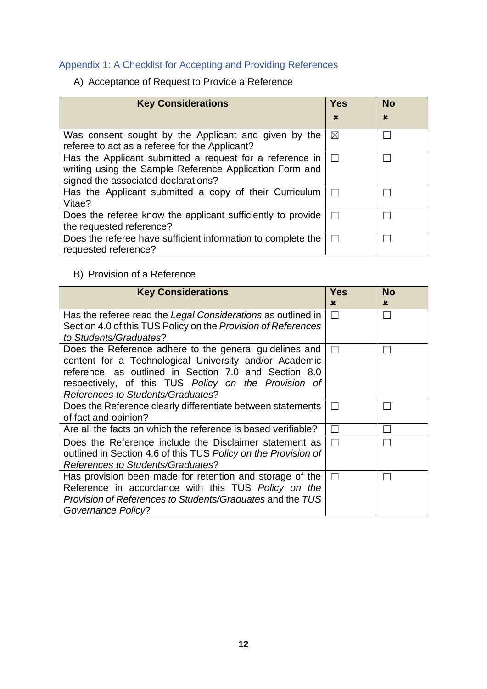# <span id="page-11-0"></span>Appendix 1: A Checklist for Accepting and Providing References

A) Acceptance of Request to Provide a Reference

| <b>Key Considerations</b>                                                                                                                                  | <b>Yes</b>  | <b>No</b>   |
|------------------------------------------------------------------------------------------------------------------------------------------------------------|-------------|-------------|
|                                                                                                                                                            | $\mathbf x$ | $\mathbf x$ |
| Was consent sought by the Applicant and given by the<br>referee to act as a referee for the Applicant?                                                     | $\boxtimes$ |             |
| Has the Applicant submitted a request for a reference in<br>writing using the Sample Reference Application Form and<br>signed the associated declarations? |             |             |
| Has the Applicant submitted a copy of their Curriculum<br>Vitae?                                                                                           |             |             |
| Does the referee know the applicant sufficiently to provide<br>the requested reference?                                                                    |             |             |
| Does the referee have sufficient information to complete the<br>requested reference?                                                                       |             |             |

## B) Provision of a Reference

| <b>Key Considerations</b>                                      | Yes<br>× | <b>No</b><br>$\mathbf x$ |
|----------------------------------------------------------------|----------|--------------------------|
| Has the referee read the Legal Considerations as outlined in   | $\Box$   | $\Box$                   |
| Section 4.0 of this TUS Policy on the Provision of References  |          |                          |
| to Students/Graduates?                                         |          |                          |
| Does the Reference adhere to the general guidelines and        |          |                          |
| content for a Technological University and/or Academic         |          |                          |
| reference, as outlined in Section 7.0 and Section 8.0          |          |                          |
| respectively, of this TUS Policy on the Provision of           |          |                          |
| References to Students/Graduates?                              |          |                          |
| Does the Reference clearly differentiate between statements    |          |                          |
| of fact and opinion?                                           |          |                          |
| Are all the facts on which the reference is based verifiable?  |          |                          |
| Does the Reference include the Disclaimer statement as         |          |                          |
| outlined in Section 4.6 of this TUS Policy on the Provision of |          |                          |
| References to Students/Graduates?                              |          |                          |
| Has provision been made for retention and storage of the       |          |                          |
| Reference in accordance with this TUS Policy on the            |          |                          |
| Provision of References to Students/Graduates and the TUS      |          |                          |
| Governance Policy?                                             |          |                          |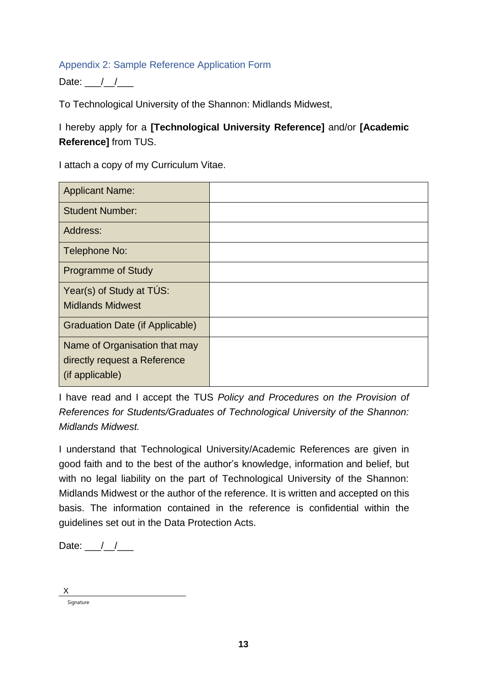## <span id="page-12-0"></span>Appendix 2: Sample Reference Application Form

Date:  $\frac{1}{2}$ 

To Technological University of the Shannon: Midlands Midwest,

# I hereby apply for a **[Technological University Reference]** and/or **[Academic Reference]** from TUS.

I attach a copy of my Curriculum Vitae.

| <b>Applicant Name:</b>          |  |
|---------------------------------|--|
| <b>Student Number:</b>          |  |
| Address:                        |  |
| Telephone No:                   |  |
| <b>Programme of Study</b>       |  |
| Year(s) of Study at TUS:        |  |
| <b>Midlands Midwest</b>         |  |
| Graduation Date (if Applicable) |  |
| Name of Organisation that may   |  |
| directly request a Reference    |  |
| (if applicable)                 |  |

I have read and I accept the TUS *Policy and Procedures on the Provision of References for Students/Graduates of Technological University of the Shannon: Midlands Midwest.*

I understand that Technological University/Academic References are given in good faith and to the best of the author's knowledge, information and belief, but with no legal liability on the part of Technological University of the Shannon: Midlands Midwest or the author of the reference. It is written and accepted on this basis. The information contained in the reference is confidential within the guidelines set out in the Data Protection Acts.

Date:  $\frac{\frac{1}{2}}{\frac{1}{2}}$ 

Signature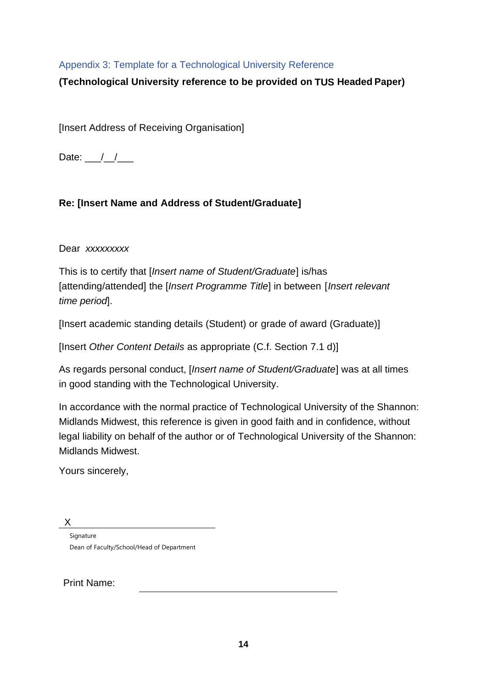## <span id="page-13-0"></span>Appendix 3: Template for a Technological University Reference

**(Technological University reference to be provided on TUS Headed Paper)**

[Insert Address of Receiving Organisation]

Date:  $\frac{1}{2}$ 

# **Re: [Insert Name and Address of Student/Graduate]**

Dear *xxxxxxxxx*

This is to certify that [*Insert name of Student/Graduate*] is/has [attending/attended] the [*Insert Programme Title*] in between [*Insert relevant time period*].

[Insert academic standing details (Student) or grade of award (Graduate)]

[Insert *Other Content Details* as appropriate (C.f. Section 7.1 d)]

As regards personal conduct, [*Insert name of Student/Graduate*] was at all times in good standing with the Technological University.

In accordance with the normal practice of Technological University of the Shannon: Midlands Midwest, this reference is given in good faith and in confidence, without legal liability on behalf of the author or of Technological University of the Shannon: Midlands Midwest.

Yours sincerely,

X

Signature Dean of Faculty/School/Head of Department

Print Name: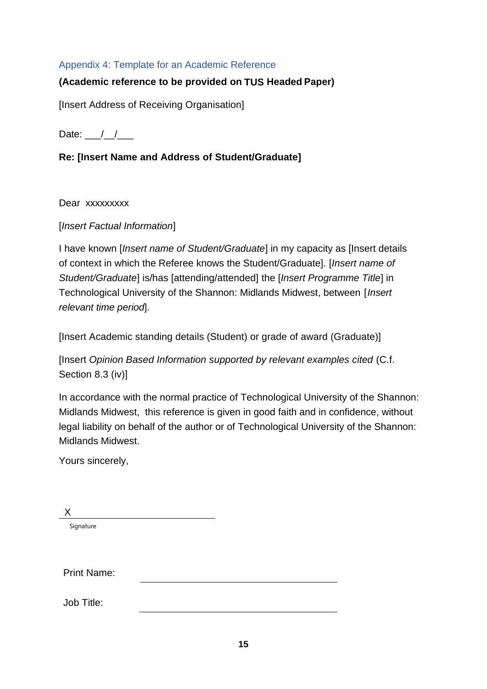## <span id="page-14-0"></span>Appendix 4: Template for an Academic Reference

# **(Academic reference to be provided on TUS Headed Paper)**

[Insert Address of Receiving Organisation]

Date:  $\frac{1}{2}$ 

# **Re: [Insert Name and Address of Student/Graduate]**

Dear xxxxxxxxx

[*Insert Factual Information*]

I have known [*Insert name of Student/Graduate*] in my capacity as [Insert details of context in which the Referee knows the Student/Graduate]. [*Insert name of Student/Graduate*] is/has [attending/attended] the [*Insert Programme Title*] in Technological University of the Shannon: Midlands Midwest, between [*Insert relevant time period*].

[Insert Academic standing details (Student) or grade of award (Graduate)]

[Insert *Opinion Based Information supported by relevant examples cited* (C.f. Section 8.3 (iv)]

In accordance with the normal practice of Technological University of the Shannon: Midlands Midwest, this reference is given in good faith and in confidence, without legal liability on behalf of the author or of Technological University of the Shannon: Midlands Midwest.

Yours sincerely,

X

Signature

Print Name:

Job Title: